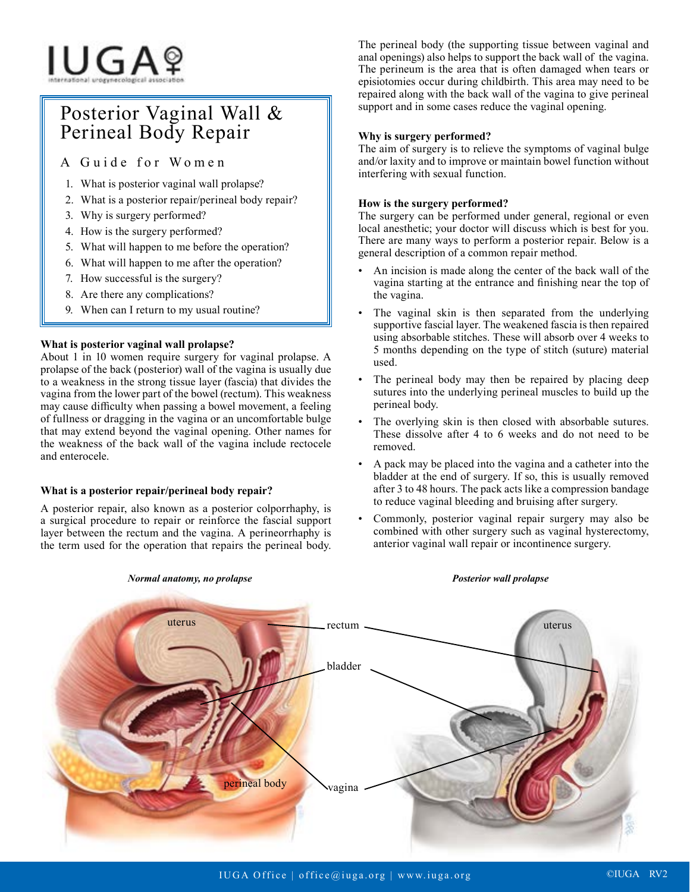# IUGAº

# Posterior Vaginal Wall & Perineal Body Repair

A Guide for Women

- 1. What is posterior vaginal wall prolapse?
- 2. What is a posterior repair/perineal body repair?
- 3. Why is surgery performed?
- 4. How is the surgery performed?
- 5. What will happen to me before the operation?
- 6. What will happen to me after the operation?
- 7. How successful is the surgery?
- 8. Are there any complications?
- 9. When can I return to my usual routine?

# **What is posterior vaginal wall prolapse?**

About 1 in 10 women require surgery for vaginal prolapse. A prolapse of the back (posterior) wall of the vagina is usually due to a weakness in the strong tissue layer (fascia) that divides the vagina from the lower part of the bowel (rectum). This weakness may cause difficulty when passing a bowel movement, a feeling of fullness or dragging in the vagina or an uncomfortable bulge that may extend beyond the vaginal opening. Other names for the weakness of the back wall of the vagina include rectocele and enterocele.

# **What is a posterior repair/perineal body repair?**

A posterior repair, also known as a posterior colporrhaphy, is a surgical procedure to repair or reinforce the fascial support layer between the rectum and the vagina. A perineorrhaphy is the term used for the operation that repairs the perineal body.

The perineal body (the supporting tissue between vaginal and anal openings) also helps to support the back wall of the vagina. The perineum is the area that is often damaged when tears or episiotomies occur during childbirth. This area may need to be repaired along with the back wall of the vagina to give perineal support and in some cases reduce the vaginal opening.

# **Why is surgery performed?**

The aim of surgery is to relieve the symptoms of vaginal bulge and/or laxity and to improve or maintain bowel function without interfering with sexual function.

# **How is the surgery performed?**

The surgery can be performed under general, regional or even local anesthetic; your doctor will discuss which is best for you. There are many ways to perform a posterior repair. Below is a general description of a common repair method.

- An incision is made along the center of the back wall of the vagina starting at the entrance and finishing near the top of the vagina.
- The vaginal skin is then separated from the underlying supportive fascial layer. The weakened fascia is then repaired using absorbable stitches. These will absorb over 4 weeks to 5 months depending on the type of stitch (suture) material used.
- The perineal body may then be repaired by placing deep sutures into the underlying perineal muscles to build up the perineal body.
- The overlying skin is then closed with absorbable sutures. These dissolve after 4 to 6 weeks and do not need to be removed.
- A pack may be placed into the vagina and a catheter into the bladder at the end of surgery. If so, this is usually removed after 3 to 48 hours. The pack acts like a compression bandage to reduce vaginal bleeding and bruising after surgery.
- Commonly, posterior vaginal repair surgery may also be combined with other surgery such as vaginal hysterectomy, anterior vaginal wall repair or incontinence surgery.



#### *Normal anatomy, no prolapse Posterior wall prolapse*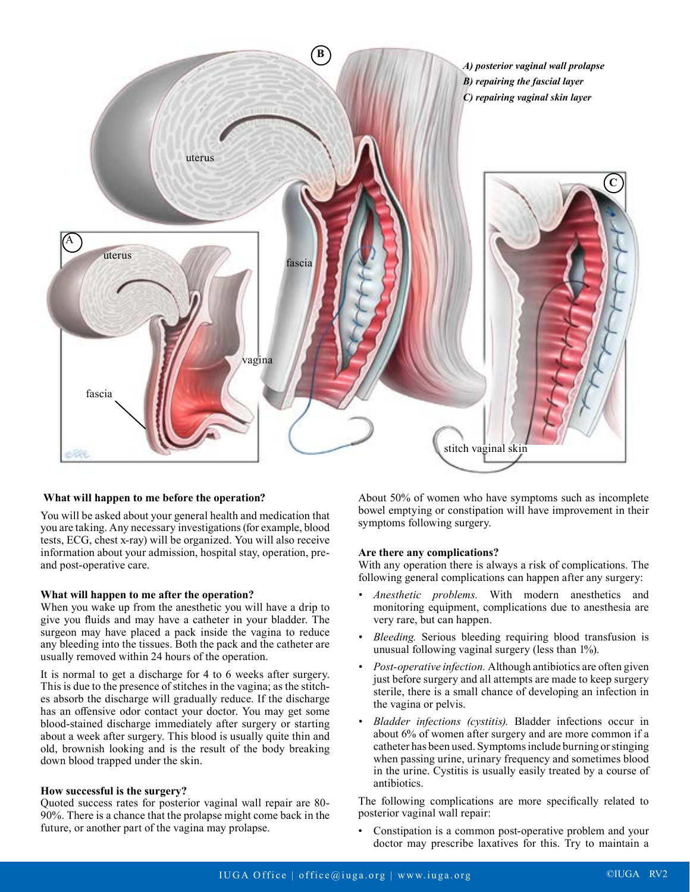

#### **What will happen to me before the operation?**

You will be asked about your general health and medication that you are taking. Any necessary investigations (for example, blood tests, ECG, chest x-ray) will be organized. You will also receive information about your admission, hospital stay, operation, preand post-operative care.

#### **What will happen to me after the operation?**

When you wake up from the anesthetic you will have a drip to give you fluids and may have a catheter in your bladder. The surgeon may have placed a pack inside the vagina to reduce any bleeding into the tissues. Both the pack and the catheter are usually removed within 24 hours of the operation.

It is normal to get a discharge for 4 to 6 weeks after surgery. This is due to the presence of stitches in the vagina; as the stitches absorb the discharge will gradually reduce. If the discharge has an offensive odor contact your doctor. You may get some blood-stained discharge immediately after surgery or starting about a week after surgery. This blood is usually quite thin and old, brownish looking and is the result of the body breaking down blood trapped under the skin.

#### **How successful is the surgery?**

Quoted success rates for posterior vaginal wall repair are 80- 90%. There is a chance that the prolapse might come back in the future, or another part of the vagina may prolapse.

About 50% of women who have symptoms such as incomplete bowel emptying or constipation will have improvement in their symptoms following surgery.

#### **Are there any complications?**

With any operation there is always a risk of complications. The following general complications can happen after any surgery:

- *• Anesthetic problems.* With modern anesthetics and monitoring equipment, complications due to anesthesia are very rare, but can happen.
- *• Bleeding.* Serious bleeding requiring blood transfusion is unusual following vaginal surgery (less than 1%).
- *• Post-operative infection.* Although antibiotics are often given just before surgery and all attempts are made to keep surgery sterile, there is a small chance of developing an infection in the vagina or pelvis.
- *• Bladder infections (cystitis).* Bladder infections occur in about 6% of women after surgery and are more common if a catheter has been used. Symptoms include burning or stinging when passing urine, urinary frequency and sometimes blood in the urine. Cystitis is usually easily treated by a course of antibiotics.

The following complications are more specifically related to posterior vaginal wall repair:

• Constipation is a common post-operative problem and your doctor may prescribe laxatives for this. Try to maintain a